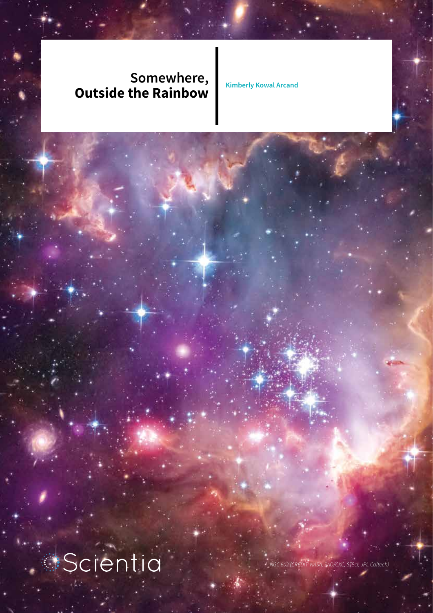### **Somewhere, Outside the Rainbow Kimberly Kowal Arcand**

**Scientia** 

*NGC 602 (CREDIT: NASA, SAO/CXC, STScI, JPL-Caltech)*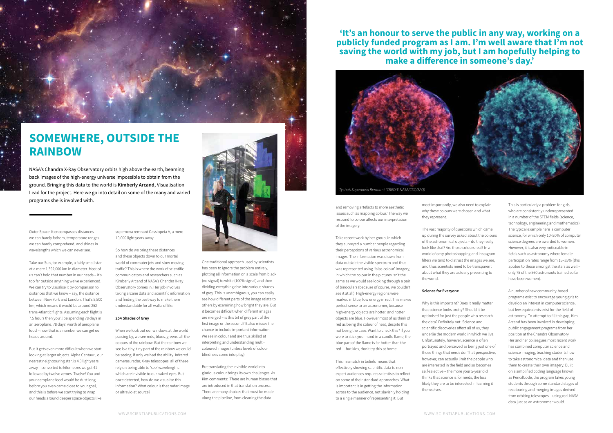Outer Space. It encompasses distances we can barely fathom, temperature ranges we can hardly comprehend, and shines in wavelengths which we can never see.

 $\ddot{\cdot}$ 

Take our Sun, for example, a fairly small star at a mere 1,392,000 km in diameter. Most of us can't hold that number in our heads – it's too far outside anything we've experienced. We can try to visualise it by comparison to distances that we know – say, the distance between New York and London. That's 5,500 km, which means it would be around 252 trans-Atlantic flights. Assuming each flight is 7.5 hours then you'll be spending 78 days in an aeroplane. 78 days' worth of aeroplane food – now that is a number we can get our heads around.

But it gets even more difficult when we start looking at larger objects. Alpha Centauri, our nearest neighbouring star, is 4.3 lightyears away – converted to kilometres we get 41 followed by twelve zeroes. Twelve! You and your aeroplane food would be dust long before you even came close to your goal, and this is before we start trying to wrap our heads around deeper space objects like

supernova remnant Cassiopeia A, a mere 10,000 light years away.

So how do we bring these distances and these objects down to our mortal world of commuter jets and slow-moving traffic? This is where the work of scientific communicators and researchers such as Kimberly Arcand of NASA's Chandra X-ray Observatory comes in. Her job involves taking arcane data and scientific information and finding the best way to make them understandable for all walks of life.

#### **254 Shades of Grey**

When we look out our windows at the world passing by, we see reds, blues, greens, all the colours of the rainbow. But the rainbow we see is a tiny, tiny part of the rainbow we could be seeing, if only we had the ability. Infrared cameras, radar, X-ray telescopes: all of these rely on being able to 'see' wavelengths which are invisible to our naked eyes. But once detected, how do we visualise this information? What colour is that radar image or ultraviolet source?





## **SOMEWHERE, OUTSIDE THE RAINBOW**

NASA's Chandra X-Ray Observatory orbits high above the earth, beaming back images of the high-energy universe impossible to obtain from the ground. Bringing this data to the world is **Kimberly Arcand,** Visualisation Lead for the project. Here we go into detail on some of the many and varied programs she is involved with.

> One traditional approach used by scientists has been to ignore the problem entirely, plotting all information on a scale from black (no signal) to white (100% signal) and then dividing everything else into various shades of grey. This is unambiguous, you can easily see how different parts of the image relate to others by examining how bright they are. But it becomes difficult when different images are merged – is this bit of grey part of the first image or the second? It also misses the chance to include important information. We see in colour and are thus skilled at interpreting and understanding multicoloured images (unless levels of colour blindness come into play).

But translating the invisible world into glorious colour brings its own challenges. As Kim comments: 'There are human biases that are introduced in that translation process. There are many choices that must be made along the pipeline, from cleaning the data

and removing artefacts to more aesthetic issues such as mapping colour.' The way we respond to colour affects our interpretation of the imagery.

Take recent work by her group, in which they surveyed a number people regarding their perceptions of various astronomical images. The information was drawn from data outside the visible spectrum and thus was represented using 'false-colour' imagery, in which the colour in the pictures isn't the same as we would see looking through a pair of binoculars (because of course, we couldn't see it at all). High-energy regions were marked in blue, low energy in red. This makes perfect sense to an astronomer, because high-energy objects are hotter, and hotter objects are blue. However most of us think of red as being the colour of heat, despite this not being the case. Want to check this? If you were to stick your hand in a candle flame, the blue part of the flame is far hotter than the red… but kids, don't try this at home!

This mismatch in beliefs means that effectively showing scientific data to nonexpert audiences requires scientists to reflect on some of their standard approaches. What is important is in getting the information across to the audience, not slavishly holding to a single manner of representing it. But

most importantly, we also need to explain why these colours were chosen and what they represent.

The vast majority of questions which came up during the survey asked about the colours of the astronomical objects – do they really look like that? Are those colours real? In a world of easy photoshopping and Instagram filters we tend to distrust the images we see, and thus scientists need to be transparent about what they are actually presenting to the world.

#### **Science for Everyone**

Why is this important? Does it really matter that science looks pretty? Should it be optimised for just the people who research the data? Definitely not. Science and scientific discoveries affect all of us, they underlie the modern world in which we live. Unfortunately, however, science is often portrayed and perceived as being just one of those things that nerds do. That perspective, however, can actually limit the people who are interested in the field and so becomes self-selective – the more your 5-year old thinks that science is for nerds, the less likely they are to be interested in learning it themselves.

This is particularly a problem for girls, who are consistently underrepresented in a number of the STEM fields (science, technology, engineering and mathematics). The typical example here is computer science, for which only 10–20% of computer science degrees are awarded to women. However, it is also very noticeable in fields such as astronomy where female participation rates range from 15–35% (this applies to those amongst the stars as well – only 75 of the 560 astronauts trained so far have been women).

A number of new community-based programs exist to encourage young girls to develop an interest in computer science, but few equivalents exist for the field of astronomy. To attempt to fill this gap, Kim Arcand has been involved in developing public engagement programs from her position at the Chandra Observatory. Her and her colleagues most recent work has combined computer science and science imaging, teaching students how to take astronomical data and then use them to create their own imagery. Built on a simplified coding language known as PencilCode, the program takes young students through some standard stages of recolouring and merging images derived from orbiting telescopes – using real NASA data just as an astronomer would.

# **'It's an honour to serve the public in any way, working on a**

**publicly funded program as I am. I'm well aware that I'm not saving the world with my job, but I am hopefully helping to make a difference in someone's day.'**